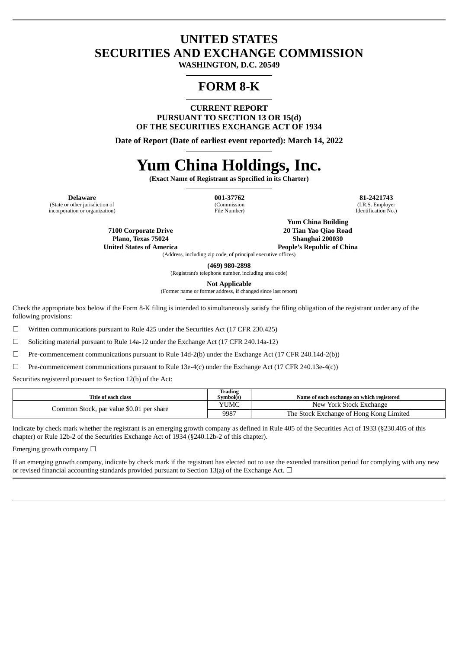# **UNITED STATES SECURITIES AND EXCHANGE COMMISSION**

**WASHINGTON, D.C. 20549**

# **FORM 8-K**

**CURRENT REPORT PURSUANT TO SECTION 13 OR 15(d) OF THE SECURITIES EXCHANGE ACT OF 1934**

**Date of Report (Date of earliest event reported): March 14, 2022**

# **Yum China Holdings, Inc.**

**(Exact Name of Registrant as Specified in its Charter)**

(State or other jurisdiction of incorporation or organization)

(Commission File Number)

**Delaware 001-37762 81-2421743** (I.R.S. Employer Identification No.)

> **7100 Corporate Drive Plano, Texas 75024 United States of America**

**Yum China Building 20 Tian Yao Qiao Road Shanghai 200030**

**People's Republic of China**

(Address, including zip code, of principal executive offices)

**(469) 980-2898**

(Registrant's telephone number, including area code)

**Not Applicable**

(Former name or former address, if changed since last report)

Check the appropriate box below if the Form 8-K filing is intended to simultaneously satisfy the filing obligation of the registrant under any of the following provisions:

☐ Written communications pursuant to Rule 425 under the Securities Act (17 CFR 230.425)

☐ Soliciting material pursuant to Rule 14a-12 under the Exchange Act (17 CFR 240.14a-12)

☐ Pre-commencement communications pursuant to Rule 14d-2(b) under the Exchange Act (17 CFR 240.14d-2(b))

☐ Pre-commencement communications pursuant to Rule 13e-4(c) under the Exchange Act (17 CFR 240.13e-4(c))

Securities registered pursuant to Section 12(b) of the Act:

| Title of each class                      | Trading<br>Symbol(s) | Name of each exchange on which registered |
|------------------------------------------|----------------------|-------------------------------------------|
| Common Stock, par value \$0.01 per share | YUMC                 | New York Stock Exchange                   |
|                                          | 9987                 | The Stock Exchange of Hong Kong Limited   |

Indicate by check mark whether the registrant is an emerging growth company as defined in Rule 405 of the Securities Act of 1933 (§230.405 of this chapter) or Rule 12b-2 of the Securities Exchange Act of 1934 (§240.12b-2 of this chapter).

Emerging growth company  $\Box$ 

If an emerging growth company, indicate by check mark if the registrant has elected not to use the extended transition period for complying with any new or revised financial accounting standards provided pursuant to Section 13(a) of the Exchange Act.  $\Box$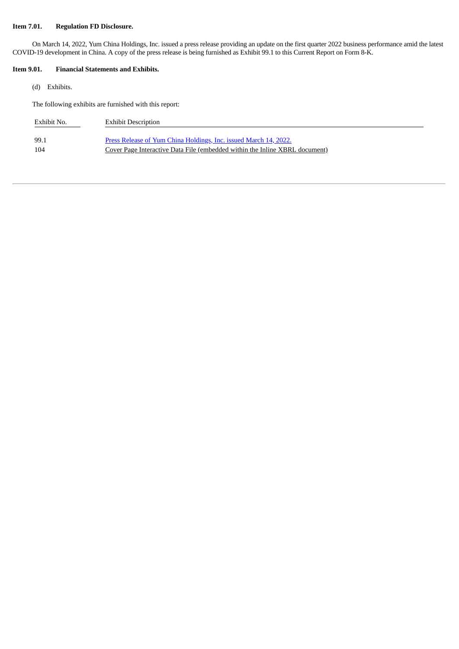## **Item 7.01. Regulation FD Disclosure.**

On March 14, 2022, Yum China Holdings, Inc. issued a press release providing an update on the first quarter 2022 business performance amid the latest COVID-19 development in China. A copy of the press release is being furnished as Exhibit 99.1 to this Current Report on Form 8-K.

#### **Item 9.01. Financial Statements and Exhibits.**

(d) Exhibits.

The following exhibits are furnished with this report:

| Exhibit No. | <b>Exhibit Description</b>                                                  |
|-------------|-----------------------------------------------------------------------------|
| 99.1        | Press Release of Yum China Holdings, Inc. issued March 14, 2022.            |
| 104         | Cover Page Interactive Data File (embedded within the Inline XBRL document) |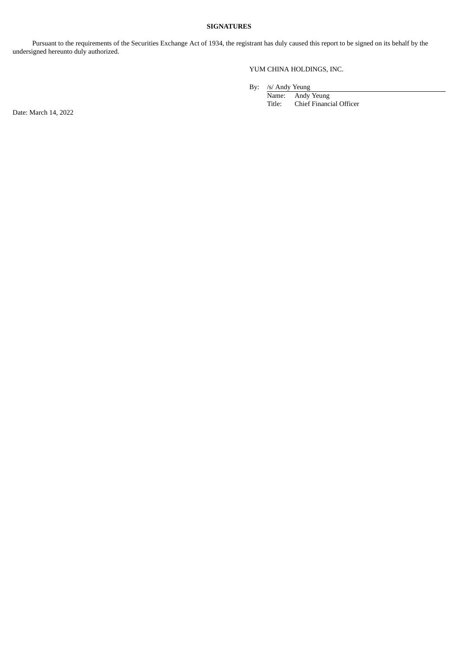#### **SIGNATURES**

Pursuant to the requirements of the Securities Exchange Act of 1934, the registrant has duly caused this report to be signed on its behalf by the undersigned hereunto duly authorized.

## YUM CHINA HOLDINGS, INC.

By: /s/ Andy Yeung

Name: Andy Yeung<br>Title: Chief Financ Chief Financial Officer

Date: March 14, 2022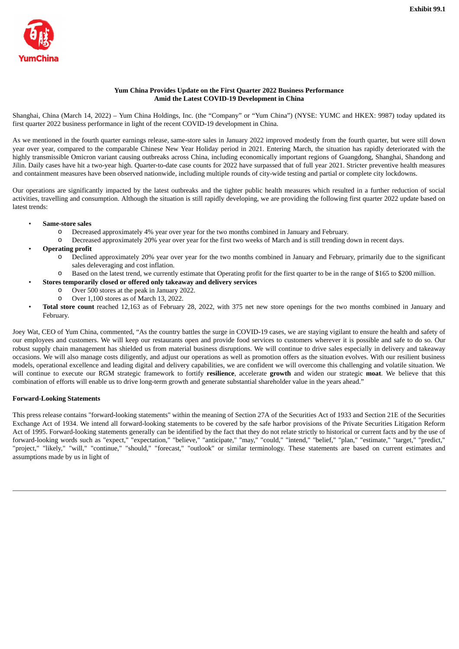<span id="page-3-0"></span>

#### **Yum China Provides Update on the First Quarter 2022 Business Performance Amid the Latest COVID-19 Development in China**

Shanghai, China (March 14, 2022) – Yum China Holdings, Inc. (the "Company" or "Yum China") (NYSE: YUMC and HKEX: 9987) today updated its first quarter 2022 business performance in light of the recent COVID-19 development in China.

As we mentioned in the fourth quarter earnings release, same-store sales in January 2022 improved modestly from the fourth quarter, but were still down year over year, compared to the comparable Chinese New Year Holiday period in 2021. Entering March, the situation has rapidly deteriorated with the highly transmissible Omicron variant causing outbreaks across China, including economically important regions of Guangdong, Shanghai, Shandong and Jilin. Daily cases have hit a two-year high. Quarter-to-date case counts for 2022 have surpassed that of full year 2021. Stricter preventive health measures and containment measures have been observed nationwide, including multiple rounds of city-wide testing and partial or complete city lockdowns.

Our operations are significantly impacted by the latest outbreaks and the tighter public health measures which resulted in a further reduction of social activities, travelling and consumption. Although the situation is still rapidly developing, we are providing the following first quarter 2022 update based on latest trends:

- **Same-store sales**
	- o Decreased approximately 4% year over year for the two months combined in January and February.
	- o Decreased approximately 20% year over year for the first two weeks of March and is still trending down in recent days.
- **Operating profit**
	- o Declined approximately 20% year over year for the two months combined in January and February, primarily due to the significant sales deleveraging and cost inflation.
	- o Based on the latest trend, we currently estimate that Operating profit for the first quarter to be in the range of \$165 to \$200 million.
	- **Stores temporarily closed or offered only takeaway and delivery services**
		- o Over 500 stores at the peak in January 2022.
		- o Over 1,100 stores as of March 13, 2022.
- **Total store count** reached 12,163 as of February 28, 2022, with 375 net new store openings for the two months combined in January and February.

Joey Wat, CEO of Yum China, commented, "As the country battles the surge in COVID-19 cases, we are staying vigilant to ensure the health and safety of our employees and customers. We will keep our restaurants open and provide food services to customers wherever it is possible and safe to do so. Our robust supply chain management has shielded us from material business disruptions. We will continue to drive sales especially in delivery and takeaway occasions. We will also manage costs diligently, and adjust our operations as well as promotion offers as the situation evolves. With our resilient business models, operational excellence and leading digital and delivery capabilities, we are confident we will overcome this challenging and volatile situation. We will continue to execute our RGM strategic framework to fortify **resilience**, accelerate **growth** and widen our strategic **moat**. We believe that this combination of efforts will enable us to drive long-term growth and generate substantial shareholder value in the years ahead."

## **Forward-Looking Statements**

This press release contains "forward-looking statements" within the meaning of Section 27A of the Securities Act of 1933 and Section 21E of the Securities Exchange Act of 1934. We intend all forward-looking statements to be covered by the safe harbor provisions of the Private Securities Litigation Reform Act of 1995. Forward-looking statements generally can be identified by the fact that they do not relate strictly to historical or current facts and by the use of forward-looking words such as "expect," "expectation," "believe," "anticipate," "may," "could," "intend," "belief," "plan," "estimate," "target," "predict," "project," "likely," "will," "continue," "should," "forecast," "outlook" or similar terminology. These statements are based on current estimates and assumptions made by us in light of